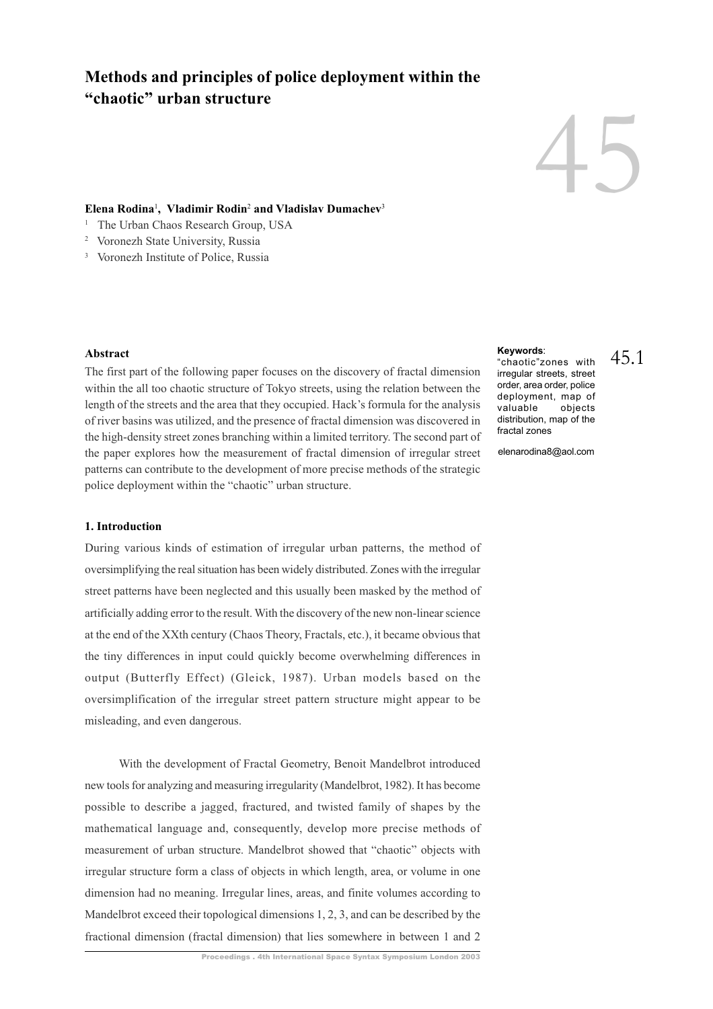# **Methods and principles of police deployment within the "chaotic" urban structure**

# 45

45.1

### **Elena Rodina**<sup>1</sup> **, Vladimir Rodin**<sup>2</sup>  **and Vladislav Dumachev**<sup>3</sup>

- <sup>1</sup> The Urban Chaos Research Group, USA
- 2 Voronezh State University, Russia
- 3 Voronezh Institute of Police, Russia

#### **Abstract**

The first part of the following paper focuses on the discovery of fractal dimension within the all too chaotic structure of Tokyo streets, using the relation between the length of the streets and the area that they occupied. Hack's formula for the analysis of river basins was utilized, and the presence of fractal dimension was discovered in the high-density street zones branching within a limited territory. The second part of the paper explores how the measurement of fractal dimension of irregular street patterns can contribute to the development of more precise methods of the strategic police deployment within the "chaotic" urban structure.

#### **1. Introduction**

During various kinds of estimation of irregular urban patterns, the method of oversimplifying the real situation has been widely distributed. Zones with the irregular street patterns have been neglected and this usually been masked by the method of artificially adding error to the result. With the discovery of the new non-linear science at the end of the XXth century (Chaos Theory, Fractals, etc.), it became obvious that the tiny differences in input could quickly become overwhelming differences in output (Butterfly Effect) (Gleick, 1987). Urban models based on the oversimplification of the irregular street pattern structure might appear to be misleading, and even dangerous.

With the development of Fractal Geometry, Benoit Mandelbrot introduced new tools for analyzing and measuring irregularity (Mandelbrot, 1982). It has become possible to describe a jagged, fractured, and twisted family of shapes by the mathematical language and, consequently, develop more precise methods of measurement of urban structure. Mandelbrot showed that "chaotic" objects with irregular structure form a class of objects in which length, area, or volume in one dimension had no meaning. Irregular lines, areas, and finite volumes according to Mandelbrot exceed their topological dimensions 1, 2, 3, and can be described by the fractional dimension (fractal dimension) that lies somewhere in between 1 and 2

#### **Keywords**:

"chaotic"zones with irregular streets, street order, area order, police deployment, map of valuable objects distribution, map of the fractal zones

elenarodina8@aol.com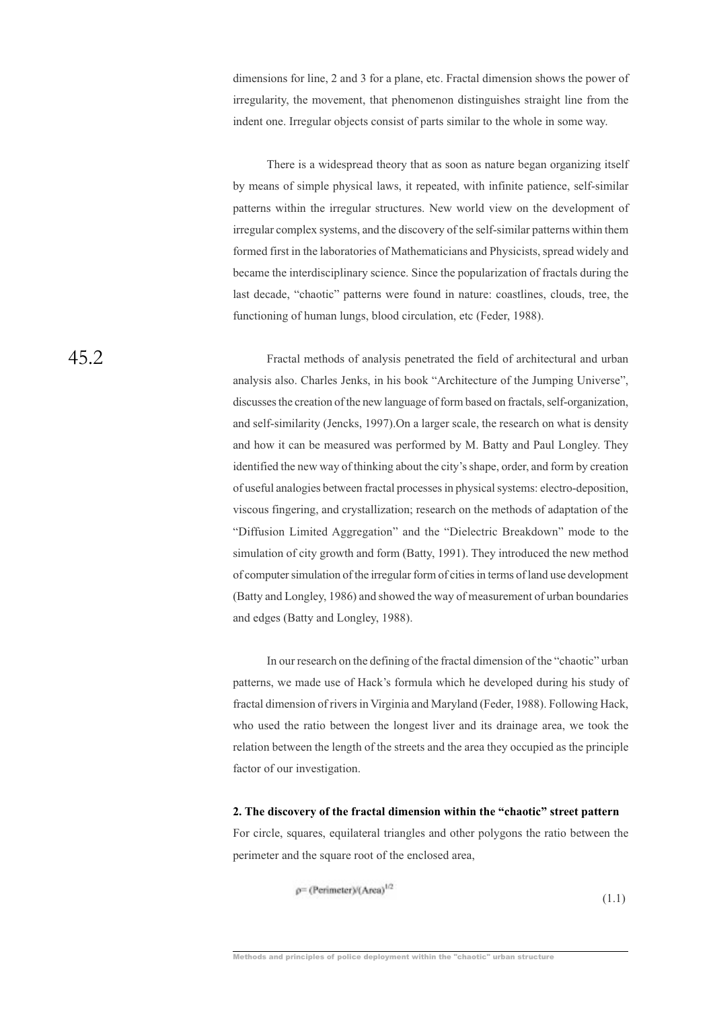dimensions for line, 2 and 3 for a plane, etc. Fractal dimension shows the power of irregularity, the movement, that phenomenon distinguishes straight line from the indent one. Irregular objects consist of parts similar to the whole in some way.

There is a widespread theory that as soon as nature began organizing itself by means of simple physical laws, it repeated, with infinite patience, self-similar patterns within the irregular structures. New world view on the development of irregular complex systems, and the discovery of the self-similar patterns within them formed first in the laboratories of Mathematicians and Physicists, spread widely and became the interdisciplinary science. Since the popularization of fractals during the last decade, "chaotic" patterns were found in nature: coastlines, clouds, tree, the functioning of human lungs, blood circulation, etc (Feder, 1988).

Fractal methods of analysis penetrated the field of architectural and urban analysis also. Charles Jenks, in his book "Architecture of the Jumping Universe", discusses the creation of the new language of form based on fractals, self-organization, and self-similarity (Jencks, 1997).On a larger scale, the research on what is density and how it can be measured was performed by M. Batty and Paul Longley. They identified the new way of thinking about the city's shape, order, and form by creation of useful analogies between fractal processes in physical systems: electro-deposition, viscous fingering, and crystallization; research on the methods of adaptation of the "Diffusion Limited Aggregation" and the "Dielectric Breakdown" mode to the simulation of city growth and form (Batty, 1991). They introduced the new method of computer simulation of the irregular form of cities in terms of land use development (Batty and Longley, 1986) and showed the way of measurement of urban boundaries and edges (Batty and Longley, 1988).

In our research on the defining of the fractal dimension of the "chaotic" urban patterns, we made use of Hack's formula which he developed during his study of fractal dimension of rivers in Virginia and Maryland (Feder, 1988). Following Hack, who used the ratio between the longest liver and its drainage area, we took the relation between the length of the streets and the area they occupied as the principle factor of our investigation.

## **2. The discovery of the fractal dimension within the "chaotic" street pattern**

For circle, squares, equilateral triangles and other polygons the ratio between the perimeter and the square root of the enclosed area,

 $\rho$ = (Perimeter)/(Area)<sup>1/2</sup>

(1.1)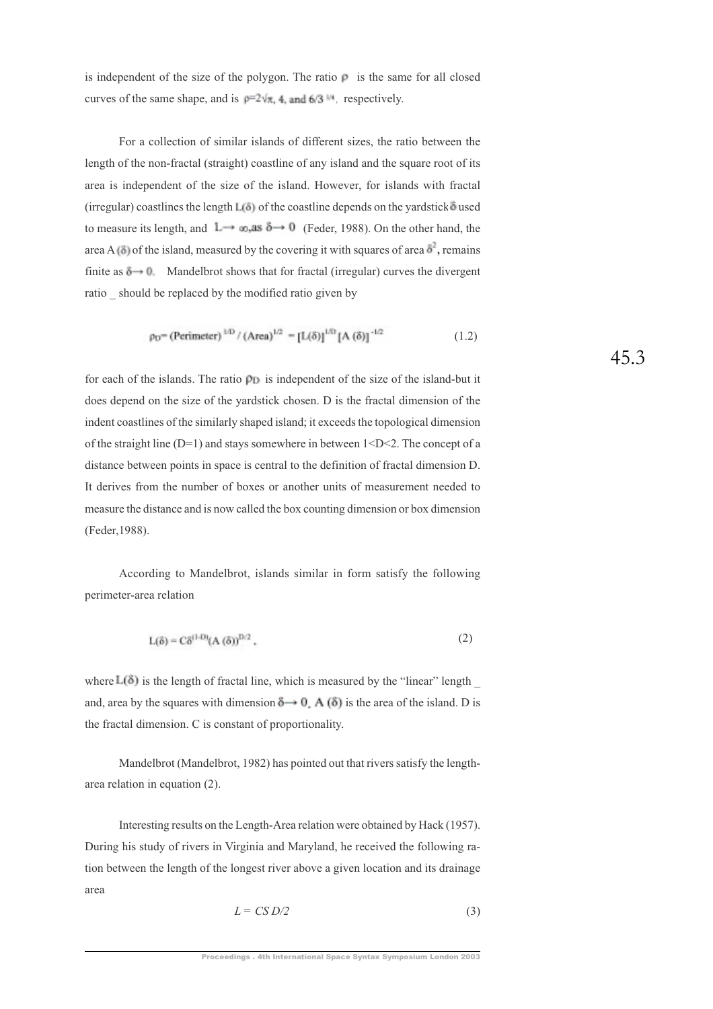is independent of the size of the polygon. The ratio  $\rho$  is the same for all closed curves of the same shape, and is  $p=2\sqrt{\pi}$ , 4, and 6/3  $^{\text{th}}$  respectively.

For a collection of similar islands of different sizes, the ratio between the length of the non-fractal (straight) coastline of any island and the square root of its area is independent of the size of the island. However, for islands with fractal (irregular) coastlines the length  $L(3)$  of the coastline depends on the yardstick  $\delta$  used to measure its length, and  $L \rightarrow \infty$ , as  $\delta \rightarrow 0$  (Feder, 1988). On the other hand, the area A  $(\delta)$  of the island, measured by the covering it with squares of area  $\delta^2$ , remains finite as  $\delta \rightarrow 0$ . Mandelbrot shows that for fractal (irregular) curves the divergent ratio should be replaced by the modified ratio given by

$$
\rho_D = (Perimeter)^{1/D} / (Area)^{1/2} = [L(\delta)]^{1/D} [A(\delta)]^{-1/2}
$$
 (1.2)

for each of the islands. The ratio  $\rho_{\rm D}$  is independent of the size of the island-but it does depend on the size of the yardstick chosen. D is the fractal dimension of the indent coastlines of the similarly shaped island; it exceeds the topological dimension of the straight line  $(D=1)$  and stays somewhere in between  $1 < D < 2$ . The concept of a distance between points in space is central to the definition of fractal dimension D. It derives from the number of boxes or another units of measurement needed to measure the distance and is now called the box counting dimension or box dimension (Feder,1988).

According to Mandelbrot, islands similar in form satisfy the following perimeter-area relation

$$
L(\delta) = C\delta^{(1-D)}(A(\delta))^{D/2},
$$
\n(2)

where  $L(\delta)$  is the length of fractal line, which is measured by the "linear" length and, area by the squares with dimension  $\delta \rightarrow 0$ . A ( $\delta$ ) is the area of the island. D is the fractal dimension. C is constant of proportionality.

Mandelbrot (Mandelbrot, 1982) has pointed out that rivers satisfy the lengtharea relation in equation (2).

Interesting results on the Length-Area relation were obtained by Hack (1957). During his study of rivers in Virginia and Maryland, he received the following ration between the length of the longest river above a given location and its drainage area

$$
L = CS D/2 \tag{3}
$$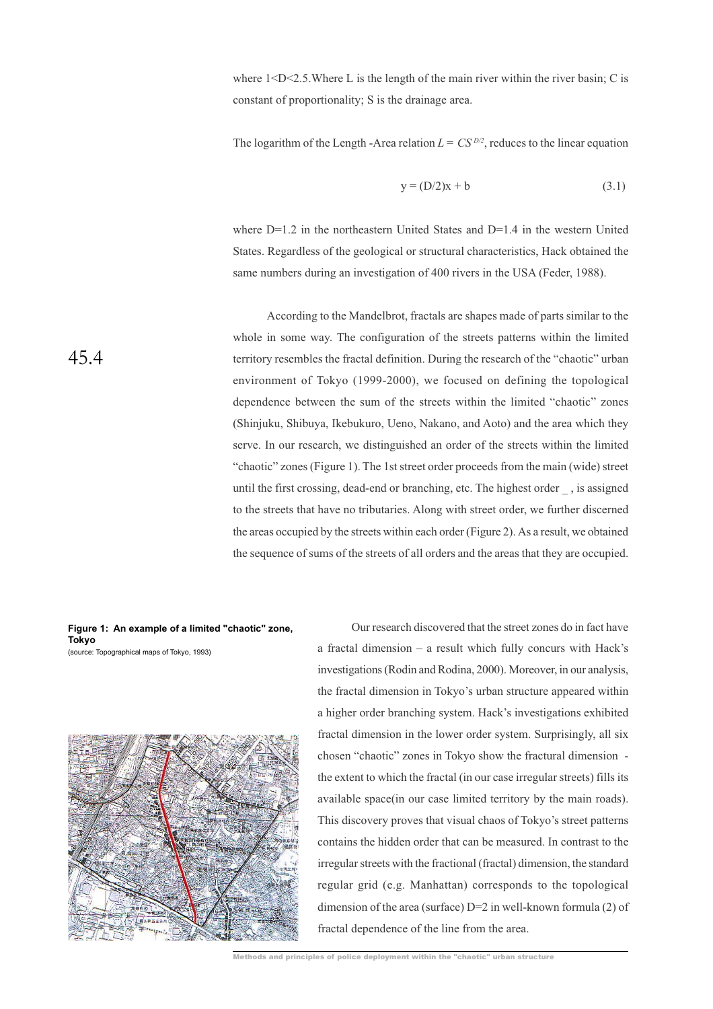where  $1 < D < 2.5$ . Where L is the length of the main river within the river basin; C is constant of proportionality; S is the drainage area.

The logarithm of the Length -Area relation  $L = CS^{D/2}$ , reduces to the linear equation

$$
y = (D/2)x + b \tag{3.1}
$$

where  $D=1.2$  in the northeastern United States and  $D=1.4$  in the western United States. Regardless of the geological or structural characteristics, Hack obtained the same numbers during an investigation of 400 rivers in the USA (Feder, 1988).

According to the Mandelbrot, fractals are shapes made of parts similar to the whole in some way. The configuration of the streets patterns within the limited territory resembles the fractal definition. During the research of the "chaotic" urban environment of Tokyo (1999-2000), we focused on defining the topological dependence between the sum of the streets within the limited "chaotic" zones (Shinjuku, Shibuya, Ikebukuro, Ueno, Nakano, and Aoto) and the area which they serve. In our research, we distinguished an order of the streets within the limited "chaotic" zones (Figure 1). The 1st street order proceeds from the main (wide) street until the first crossing, dead-end or branching, etc. The highest order \_ , is assigned to the streets that have no tributaries. Along with street order, we further discerned the areas occupied by the streets within each order (Figure 2). As a result, we obtained the sequence of sums of the streets of all orders and the areas that they are occupied.

**Figure 1: An example of a limited "chaotic" zone, Tokyo** (source: Topographical maps of Tokyo, 1993)



Our research discovered that the street zones do in fact have a fractal dimension – a result which fully concurs with Hack's investigations (Rodin and Rodina, 2000). Moreover, in our analysis, the fractal dimension in Tokyo's urban structure appeared within a higher order branching system. Hack's investigations exhibited fractal dimension in the lower order system. Surprisingly, all six chosen "chaotic" zones in Tokyo show the fractural dimension the extent to which the fractal (in our case irregular streets) fills its available space(in our case limited territory by the main roads). This discovery proves that visual chaos of Tokyo's street patterns contains the hidden order that can be measured. In contrast to the irregular streets with the fractional (fractal) dimension, the standard regular grid (e.g. Manhattan) corresponds to the topological dimension of the area (surface) D=2 in well-known formula (2) of fractal dependence of the line from the area.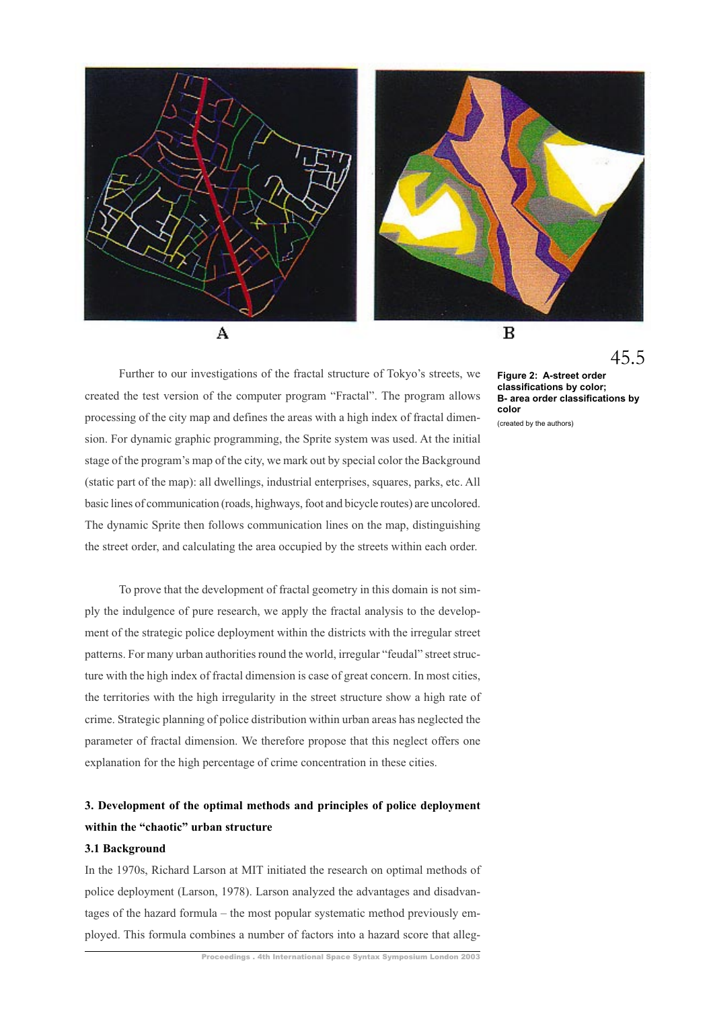

Further to our investigations of the fractal structure of Tokyo's streets, we created the test version of the computer program "Fractal". The program allows processing of the city map and defines the areas with a high index of fractal dimension. For dynamic graphic programming, the Sprite system was used. At the initial stage of the program's map of the city, we mark out by special color the Background (static part of the map): all dwellings, industrial enterprises, squares, parks, etc. All basic lines of communication (roads, highways, foot and bicycle routes) are uncolored. The dynamic Sprite then follows communication lines on the map, distinguishing the street order, and calculating the area occupied by the streets within each order.

To prove that the development of fractal geometry in this domain is not simply the indulgence of pure research, we apply the fractal analysis to the development of the strategic police deployment within the districts with the irregular street patterns. For many urban authorities round the world, irregular "feudal" street structure with the high index of fractal dimension is case of great concern. In most cities, the territories with the high irregularity in the street structure show a high rate of crime. Strategic planning of police distribution within urban areas has neglected the parameter of fractal dimension. We therefore propose that this neglect offers one explanation for the high percentage of crime concentration in these cities.

## **3. Development of the optimal methods and principles of police deployment within the "chaotic" urban structure**

## **3.1 Background**

In the 1970s, Richard Larson at MIT initiated the research on optimal methods of police deployment (Larson, 1978). Larson analyzed the advantages and disadvantages of the hazard formula – the most popular systematic method previously employed. This formula combines a number of factors into a hazard score that alleg45.5

**Figure 2: A-street order classifications by color; B- area order classifications by color** (created by the authors)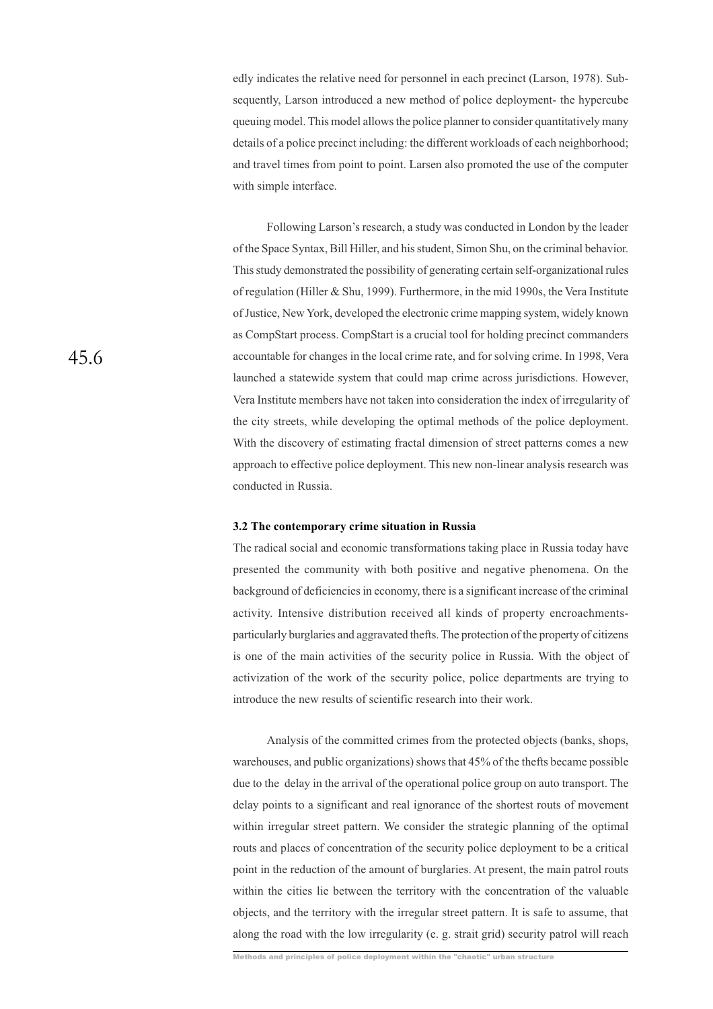edly indicates the relative need for personnel in each precinct (Larson, 1978). Subsequently, Larson introduced a new method of police deployment- the hypercube queuing model. This model allows the police planner to consider quantitatively many details of a police precinct including: the different workloads of each neighborhood; and travel times from point to point. Larsen also promoted the use of the computer with simple interface.

Following Larson's research, a study was conducted in London by the leader of the Space Syntax, Bill Hiller, and his student, Simon Shu, on the criminal behavior. This study demonstrated the possibility of generating certain self-organizational rules of regulation (Hiller & Shu, 1999). Furthermore, in the mid 1990s, the Vera Institute of Justice, New York, developed the electronic crime mapping system, widely known as CompStart process. CompStart is a crucial tool for holding precinct commanders accountable for changes in the local crime rate, and for solving crime. In 1998, Vera launched a statewide system that could map crime across jurisdictions. However, Vera Institute members have not taken into consideration the index of irregularity of the city streets, while developing the optimal methods of the police deployment. With the discovery of estimating fractal dimension of street patterns comes a new approach to effective police deployment. This new non-linear analysis research was conducted in Russia.

#### **3.2 The contemporary crime situation in Russia**

The radical social and economic transformations taking place in Russia today have presented the community with both positive and negative phenomena. On the background of deficiencies in economy, there is a significant increase of the criminal activity. Intensive distribution received all kinds of property encroachmentsparticularly burglaries and aggravated thefts. The protection of the property of citizens is one of the main activities of the security police in Russia. With the object of activization of the work of the security police, police departments are trying to introduce the new results of scientific research into their work.

Analysis of the committed crimes from the protected objects (banks, shops, warehouses, and public organizations) shows that 45% of the thefts became possible due to the delay in the arrival of the operational police group on auto transport. The delay points to a significant and real ignorance of the shortest routs of movement within irregular street pattern. We consider the strategic planning of the optimal routs and places of concentration of the security police deployment to be a critical point in the reduction of the amount of burglaries. At present, the main patrol routs within the cities lie between the territory with the concentration of the valuable objects, and the territory with the irregular street pattern. It is safe to assume, that along the road with the low irregularity (e. g. strait grid) security patrol will reach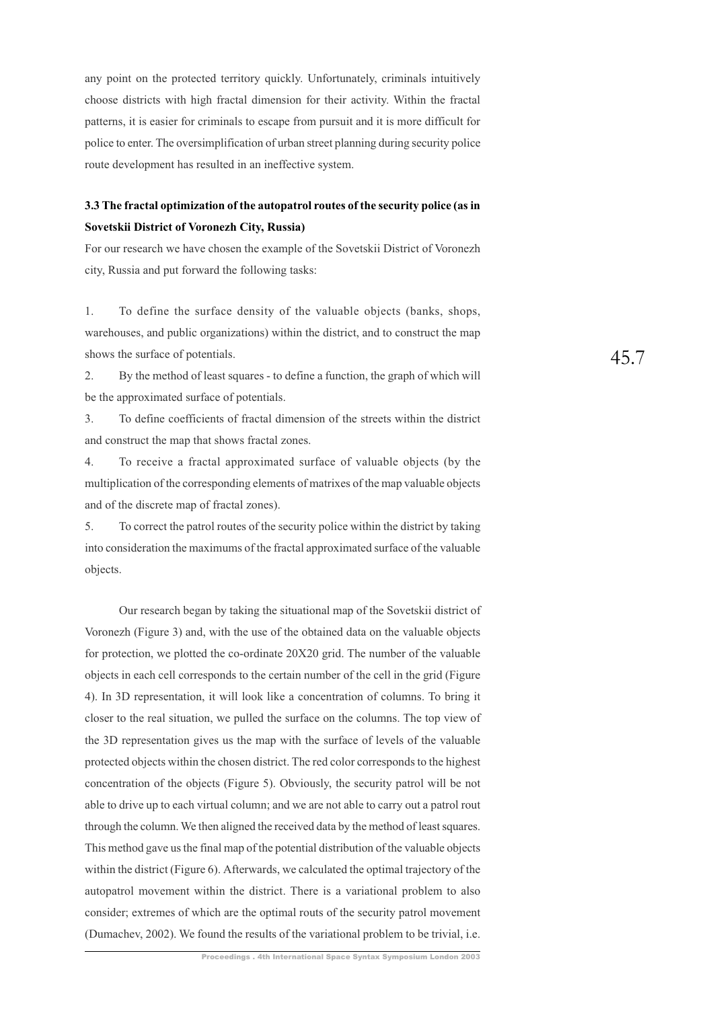any point on the protected territory quickly. Unfortunately, criminals intuitively choose districts with high fractal dimension for their activity. Within the fractal patterns, it is easier for criminals to escape from pursuit and it is more difficult for police to enter. The oversimplification of urban street planning during security police route development has resulted in an ineffective system.

## **3.3 The fractal optimization of the autopatrol routes of the security police (as in Sovetskii District of Voronezh City, Russia)**

For our research we have chosen the example of the Sovetskii District of Voronezh city, Russia and put forward the following tasks:

1. To define the surface density of the valuable objects (banks, shops, warehouses, and public organizations) within the district, and to construct the map shows the surface of potentials.

2. By the method of least squares - to define a function, the graph of which will be the approximated surface of potentials.

3. To define coefficients of fractal dimension of the streets within the district and construct the map that shows fractal zones.

4. To receive a fractal approximated surface of valuable objects (by the multiplication of the corresponding elements of matrixes of the map valuable objects and of the discrete map of fractal zones).

5. To correct the patrol routes of the security police within the district by taking into consideration the maximums of the fractal approximated surface of the valuable objects.

Our research began by taking the situational map of the Sovetskii district of Voronezh (Figure 3) and, with the use of the obtained data on the valuable objects for protection, we plotted the co-ordinate 20X20 grid. The number of the valuable objects in each cell corresponds to the certain number of the cell in the grid (Figure 4). In 3D representation, it will look like a concentration of columns. To bring it closer to the real situation, we pulled the surface on the columns. The top view of the 3D representation gives us the map with the surface of levels of the valuable protected objects within the chosen district. The red color corresponds to the highest concentration of the objects (Figure 5). Obviously, the security patrol will be not able to drive up to each virtual column; and we are not able to carry out a patrol rout through the column. We then aligned the received data by the method of least squares. This method gave us the final map of the potential distribution of the valuable objects within the district (Figure 6). Afterwards, we calculated the optimal trajectory of the autopatrol movement within the district. There is a variational problem to also consider; extremes of which are the optimal routs of the security patrol movement (Dumachev, 2002). We found the results of the variational problem to be trivial, i.e.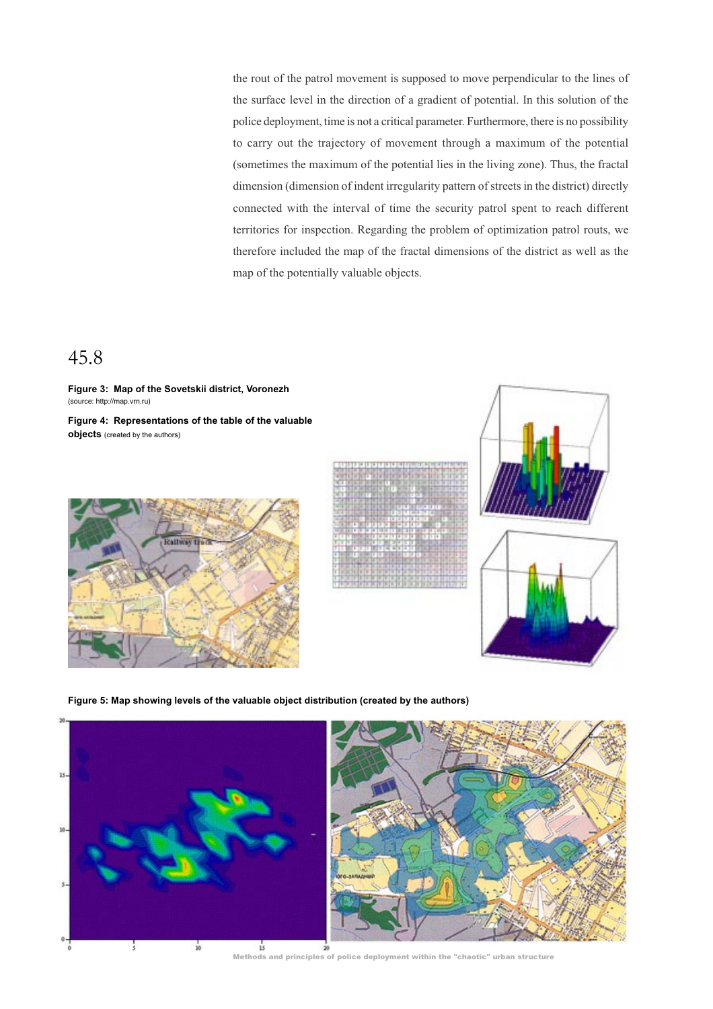the rout of the patrol movement is supposed to move perpendicular to the lines of the surface level in the direction of a gradient of potential. In this solution of the police deployment, time is not a critical parameter. Furthermore, there is no possibility to carry out the trajectory of movement through a maximum of the potential (sometimes the maximum of the potential lies in the living zone). Thus, the fractal dimension (dimension of indent irregularity pattern of streets in the district) directly connected with the interval of time the security patrol spent to reach different territories for inspection. Regarding the problem of optimization patrol routs, we therefore included the map of the fractal dimensions of the district as well as the map of the potentially valuable objects.

# 45.8

**Figure 3: Map of the Sovetskii district, Voronezh** (source: http://map.vrn.ru)

**Figure 4: Representations of the table of the valuable objects** (created by the authors)







**Figure 5: Map showing levels of the valuable object distribution (created by the authors)**



Methods and principles of police deployment within the "chaotic" urban structure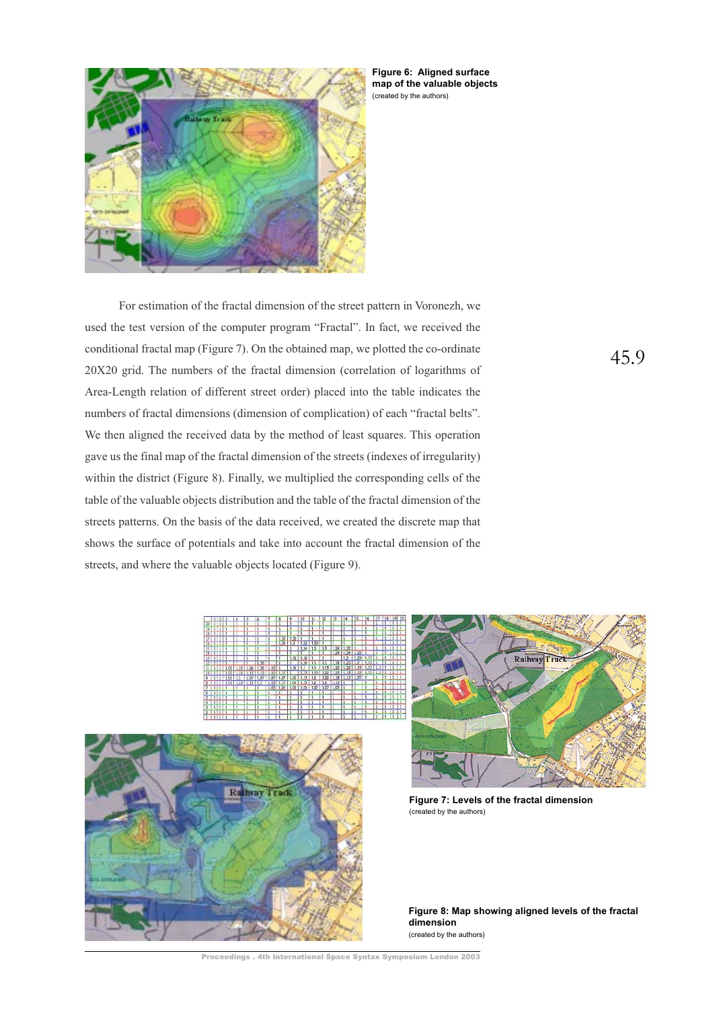

**Figure 6: Aligned surface map of the valuable objects** (created by the authors)

For estimation of the fractal dimension of the street pattern in Voronezh, we used the test version of the computer program "Fractal". In fact, we received the conditional fractal map (Figure 7). On the obtained map, we plotted the co-ordinate 20X20 grid. The numbers of the fractal dimension (correlation of logarithms of Area-Length relation of different street order) placed into the table indicates the numbers of fractal dimensions (dimension of complication) of each "fractal belts". We then aligned the received data by the method of least squares. This operation gave us the final map of the fractal dimension of the streets (indexes of irregularity) within the district (Figure 8). Finally, we multiplied the corresponding cells of the table of the valuable objects distribution and the table of the fractal dimension of the streets patterns. On the basis of the data received, we created the discrete map that shows the surface of potentials and take into account the fractal dimension of the streets, and where the valuable objects located (Figure 9).





**Figure 7: Levels of the fractal dimension** (created by the authors)

**Figure 8: Map showing aligned levels of the fractal dimension** (created by the authors)

Proceedings . 4th International Space Syntax Symposium London 2003

45.9